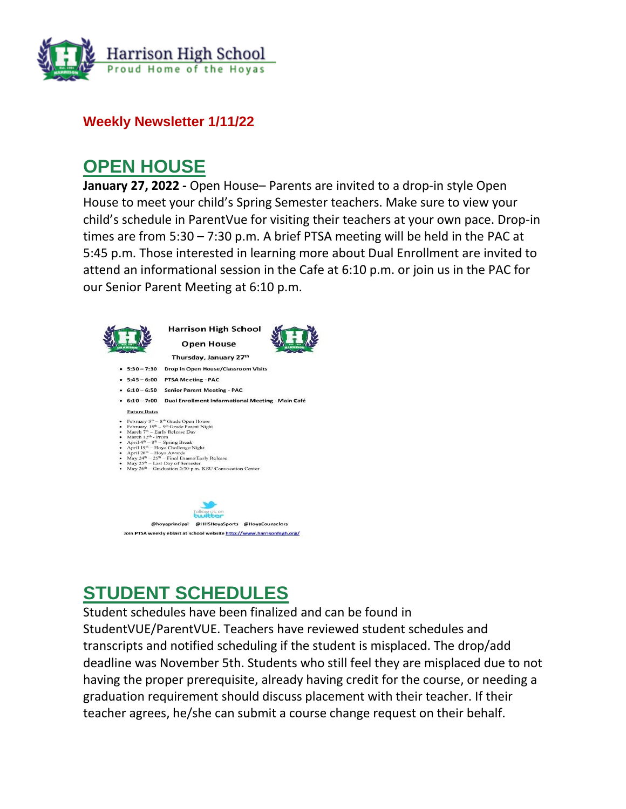

### **Weekly Newsletter 1/11/22**

## **OPEN HOUSE**

**January 27, 2022 -** Open House– Parents are invited to a drop-in style Open House to meet your child's Spring Semester teachers. Make sure to view your child's schedule in ParentVue for visiting their teachers at your own pace. Drop-in times are from 5:30 – 7:30 p.m. A brief PTSA meeting will be held in the PAC at 5:45 p.m. Those interested in learning more about Dual Enrollment are invited to attend an informational session in the Cafe at 6:10 p.m. or join us in the PAC for our Senior Parent Meeting at 6:10 p.m.



# **STUDENT SCHEDULES**

Student schedules have been finalized and can be found in StudentVUE/ParentVUE. Teachers have reviewed student schedules and transcripts and notified scheduling if the student is misplaced. The drop/add deadline was November 5th. Students who still feel they are misplaced due to not having the proper prerequisite, already having credit for the course, or needing a graduation requirement should discuss placement with their teacher. If their teacher agrees, he/she can submit a course change request on their behalf.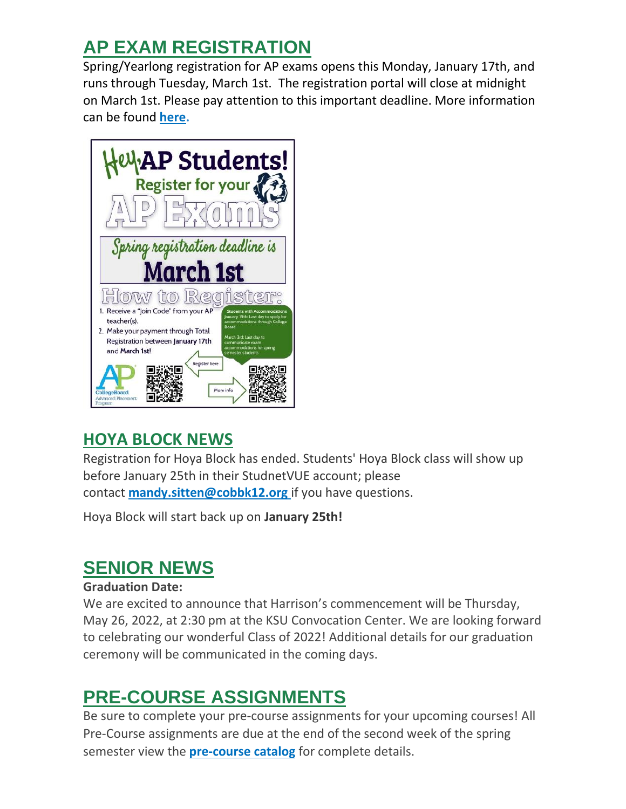# **AP EXAM REGISTRATION**

Spring/Yearlong registration for AP exams opens this Monday, January 17th, and runs through Tuesday, March 1st. The registration portal will close at midnight on March 1st. Please pay attention to this important deadline. More information can be found **[here.](http://url503.cobbk12.org/ls/click?upn=oq5wnnHoD1NAxpT8rNAGXMR1eG7MJW44UQRvGTy3TspC5USH35kTcv6Huq2B0mRCpVzlOxvi8AwPc3mhaC6QZyj3SZ3fgofACCQFhvCijAc-3DJ38-_W-2BfLYUoUwwI1tuGClKRhhPOSepcZIFoXnUIMjiA717kQ1i13BNQTwwJ9cl-2BWArXr6-2FDxoCbNFrRaplJKtN7fZyayq-2FieBXhZqqo9bwWIK-2Bjc9oKlSmIAJ-2BU9nVMBqn4f9iUU380t7Ppw646Dqi1N6V-2Bv5y-2BuNLx3OWU05PXEcqlQWPgAzFshuJ6tu2MSVYppdus0z3tlJ5TsIvINViom2a3ZfzipM5jAVey7ziWy-2B6QgxEh4K6HH7q410Eeqh9EUPb0fm0kKesPwlYmSt625Nw-3D-3D)**



# **HOYA BLOCK NEWS**

Registration for Hoya Block has ended. Students' Hoya Block class will show up before January 25th in their StudnetVUE account; please contact **[mandy.sitten@cobbk12.org](mailto:mandy.sitten@cobbk12.org)** if you have questions.

Hoya Block will start back up on **January 25th!**

# **SENIOR NEWS**

### **Graduation Date:**

We are excited to announce that Harrison's commencement will be Thursday, May 26, 2022, at 2:30 pm at the KSU Convocation Center. We are looking forward to celebrating our wonderful Class of 2022! Additional details for our graduation ceremony will be communicated in the coming days.

# **PRE-COURSE ASSIGNMENTS**

Be sure to complete your pre-course assignments for your upcoming courses! All Pre-Course assignments are due at the end of the second week of the spring semester view the **[pre-course catalog](http://url503.cobbk12.org/ls/click?upn=lifxRKNE4qaF4JWLXkbAsjh7ycX9GyI4V6qRbFFivNpp-2B3syQ-2BF1CRoHOrZqfnEtQcfUXEzQ4WYketaNTGV340xDrtszQl4MMmDJOpYGkIqOdI9knBrxIYgBj-2By1dR0-2FLDWrEwd9IPGJDTjbe0j9QA-3D-3DPv9o_W-2BfLYUoUwwI1tuGClKRhhPOSepcZIFoXnUIMjiA717kQ1i13BNQTwwJ9cl-2BWArXr6-2FDxoCbNFrRaplJKtN7fZyayq-2FieBXhZqqo9bwWIK-2Bjc9oKlSmIAJ-2BU9nVMBqn4fxPhytYoYDYtOn30XfAhWkUpx9W8vW-2BPcF-2BNZbRRHjHBsVqOOx-2BwrRnjq2HHkVXZrThVxnQevTr4wh4NuVRct0Ct0LLqwV0G65XGak5IeDMhvBaMv6I5d8iGcHJno8lFoQ5uj78Bbpi7LMz7KwaDzNg-3D-3D)** for complete details.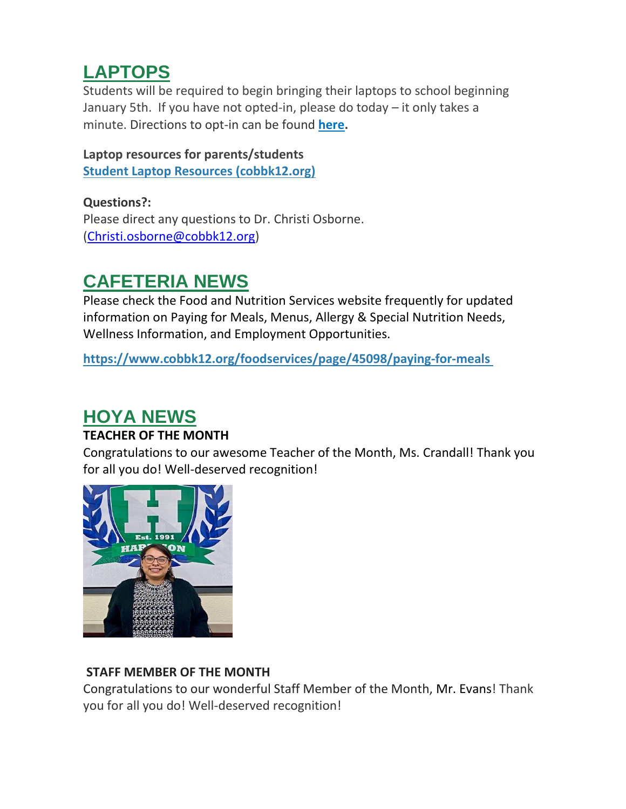# **LAPTOPS**

Students will be required to begin bringing their laptops to school beginning January 5th. If you have not opted-in, please do today – it only takes a minute. Directions to opt-in can be found **[here.](http://url503.cobbk12.org/ls/click?upn=HU5K2q0Fz5ADTGboxPzOzUx-2FoxqvD40X8ef2vsqiBoK5lUpmPrrJUiWhJvXNIfJ270vmIswmX8KcH-2BqvxZwQo6gvxu00a9aZXsbo8PzdGuZO-2FACLIJYdhejZvcbBZazUoOB2_W-2BfLYUoUwwI1tuGClKRhhPOSepcZIFoXnUIMjiA717kQ1i13BNQTwwJ9cl-2BWArXr6-2FDxoCbNFrRaplJKtN7fZyayq-2FieBXhZqqo9bwWIK-2Bjc9oKlSmIAJ-2BU9nVMBqn4fOMUFrjuCBXEr52jxJThr1VsNZnu0RNgdX-2Fft7-2FemQcDVrIoX3kH0jGThzSstYHI-2FsL8IAzaTuskh-2F5M5kNXRgUSZdQxa6gJfMEORW-2FXj1JA0WJuV-2B-2B88FiWKrY13qjf2jk9Vyq69tSzamZ6SuIocJA-3D-3D)**

#### **Laptop resources for parents/students [Student Laptop Resources \(cobbk12.org\)](http://url503.cobbk12.org/ls/click?upn=kYpeu9rJVSU1acS4VG0V9dP8zXnygu7Up5qBE7usQ1jRmGDEuj6uzT9FPcnvQys9X5dnPemZru5Ni9W9eLDPVWqdx7Y5CnPU3sDRwLFgoNU8-2FFt0r6E8LgCM-2B3UqAZ5oJtK4BAEJH6-2FcbKuPnctp3hgT3lGDufWupzrD2kTITZdCNAZbQIZNR2PARTNUYvwebsdWal9Tf5A99-2F7U5V1kSwnKclB5tg3jUT-2BqO7Ij2ivdO-2BwghDYlROnhwnbcNpDeY79BROSx4d4ZhRRXv7Ga0nCtPuAnFyghGm-2Fa2wz8arbjWbHFlUnKWEuQb93s-2Fe1Bww3DbYMPNp6gZzKxDCLGaTygtD4Jqn-2B2EG7KO7v2icDcL5rLP6ewJaIVBowm4NJMVpEFhOSHdFxpK9RAL4ETvNvWlbw2xge0Ps6q2BxAMX-2Be498YHW9dZMADQ7aTHYAaE-2BA9Y1Yi8Y72gd453e-2F72KEtqrfhoGx-2FC-2FiD-2FdEqEoguHmfIEeDE2-2FusPpkf2VPCdYaQoYBt2HJfS7niYwBS8EulaBY5pXSna3DR5GoZaJJVoYKeCijAvCJmXTmc7dW4oAJT_W-2BfLYUoUwwI1tuGClKRhhPOSepcZIFoXnUIMjiA717kQ1i13BNQTwwJ9cl-2BWArXr6-2FDxoCbNFrRaplJKtN7fZyayq-2FieBXhZqqo9bwWIK-2Bjc9oKlSmIAJ-2BU9nVMBqn4fMvSuN-2FtjuWDgrSEpwRYF2etWXfGIVLkoG4tov1GfE9No-2BrBlNXlhgjTgYDEXxy62es-2B-2FEljlZfYtQbppH-2BiqPNBnSjzeIIXTuQv414Ntv-2FaoDTnY7C3fE7bM6d9pLzgvccbqMMlBbewGKh6o4csfkA-3D-3D)**

**Questions?:** Please direct any questions to Dr. Christi Osborne. [\(Christi.osborne@cobbk12.org\)](mailto:Christi.osborne@cobbk12.org)

# **CAFETERIA NEWS**

Please check the Food and Nutrition Services website frequently for updated information on Paying for Meals, Menus, Allergy & Special Nutrition Needs, Wellness Information, and Employment Opportunities.

**[https://www.cobbk12.org/foodservices/page/45098/paying-for-meals](http://url503.cobbk12.org/ls/click?upn=oq5wnnHoD1NAxpT8rNAGXIgEcF6cFUXUYIe-2B8AO3LVyx4t4OJsNWVhu0iEI2j90fBOcAAqhr4f3pHktzPZuYg83p0mcu7zlRbWoKDhAG9jg-3D1f-d_W-2BfLYUoUwwI1tuGClKRhhPOSepcZIFoXnUIMjiA717kQ1i13BNQTwwJ9cl-2BWArXr6-2FDxoCbNFrRaplJKtN7fZyayq-2FieBXhZqqo9bwWIK-2Bjc9oKlSmIAJ-2BU9nVMBqn4fRpA8y2pJVZzCbWrkTjypAcfOh2IYjiTV7VS-2FaiLFCZm2f9blNl-2BmyRXtx86bOIkoyNAoTYRln2rXCUkuteXQM4y6sBmDm8HG65BVHSITNEBcTPLmgveOCjD2-2FsclkfH8Y0k-2BIwB3XSwso6jFBQnf4g-3D-3D)**

# **HOYA NEWS**

## **TEACHER OF THE MONTH**

Congratulations to our awesome Teacher of the Month, Ms. Crandall! Thank you for all you do! Well-deserved recognition!



## **STAFF MEMBER OF THE MONTH**

Congratulations to our wonderful Staff Member of the Month, Mr. Evans! Thank you for all you do! Well-deserved recognition!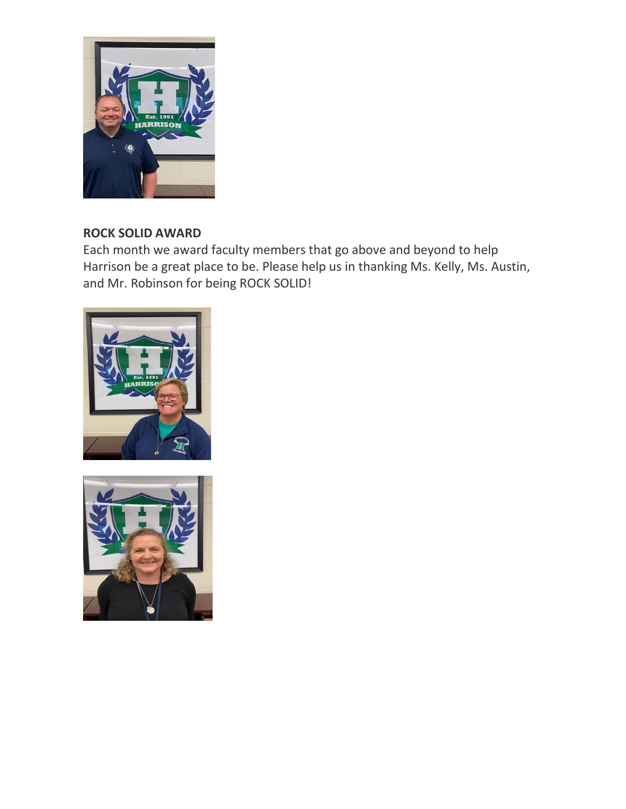

## **ROCK SOLID AWARD**

Each month we award faculty members that go above and beyond to help Harrison be a great place to be. Please help us in thanking Ms. Kelly, Ms. Austin, and Mr. Robinson for being ROCK SOLID!



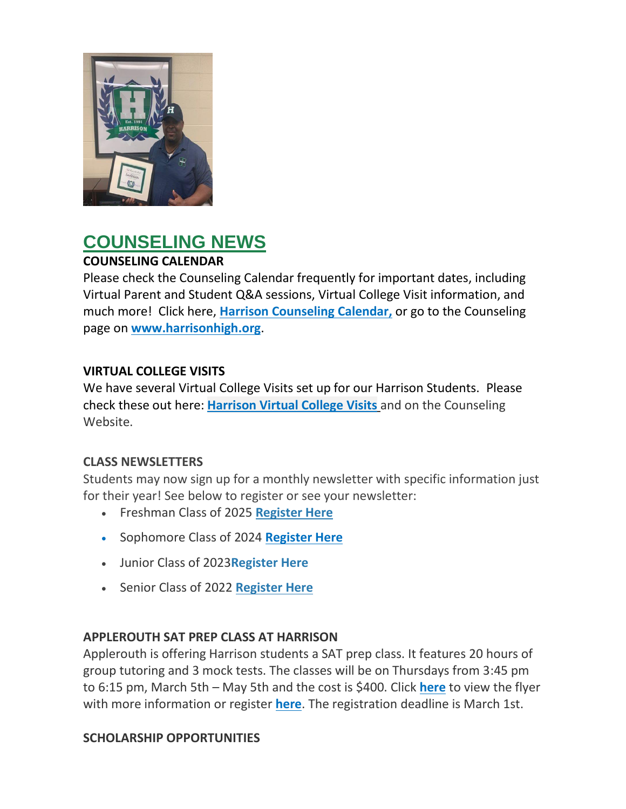

# **COUNSELING NEWS**

## **COUNSELING CALENDAR**

Please check the Counseling Calendar frequently for important dates, including Virtual Parent and Student Q&A sessions, Virtual College Visit information, and much more! Click here, **[Harrison Counseling Calendar,](http://url503.cobbk12.org/ls/click?upn=G8An3K6JlHsR8QtKBFuzdoB1znjZkDc3Km2Sgf1PHVodwV6VgRMiwQQL-2F79BHEQra7DV94YM-2Fu3jRroQrZebB0ICbAiiTSOxf2VOsZ9D5nW8n4m8qqkXdxeSO2hlSA3UyvfMGWbP-2BL0z6gmtleFIjXJmfcH41EVFv2oCj87cm6rZyB8XpGoYTeMfqHO-2FL19z-Qsa_W-2BfLYUoUwwI1tuGClKRhhPOSepcZIFoXnUIMjiA717kQ1i13BNQTwwJ9cl-2BWArXr6-2FDxoCbNFrRaplJKtN7fZyayq-2FieBXhZqqo9bwWIK-2Bjc9oKlSmIAJ-2BU9nVMBqn4fHlERsMwNwHCZnNdCWVIkuTxXo6Yt8K4u0UfR-2Bfhf3W4RdDyeVrxqVvQrPjcpaXaGlobXBoCC7BGuq9Xd-2BwGCKjLZmbV9dutctLhWK4spv-2BTfvGGMPPr93Gz2cNe0dPClscCwhzwJsGN-2FzEdrR-2BPo-2FA-3D-3D)** or go to the Counseling page on **[www.harrisonhigh.org](http://url503.cobbk12.org/ls/click?upn=oq5wnnHoD1NAxpT8rNAGXO9pgQjsMrFEdSeXOUfDN1SmFc2KsGzpApGt0h4W-2BnTi3qOMFT0pAhpU4g9jzi2oghIA-2BD5qxCmArcny4yPncCY-3Dw5ZA_W-2BfLYUoUwwI1tuGClKRhhPOSepcZIFoXnUIMjiA717kQ1i13BNQTwwJ9cl-2BWArXr6-2FDxoCbNFrRaplJKtN7fZyayq-2FieBXhZqqo9bwWIK-2Bjc9oKlSmIAJ-2BU9nVMBqn4fuxmpVOREkM5gLhxUCVz5-2FlzhkiWJRJeK-2Fbb159sacMZteNBU5ZsfwkNXVUEV6UOFaQE1OLpdTfZiGcms1kpNRpy-2BsaN1pF58eo58iL7C6rWwu9GQcItpm1wpxeluf3SD1zIzm4C8rvMrfhnG6OblbA-3D-3D)**.

### **VIRTUAL COLLEGE VISITS**

We have several Virtual College Visits set up for our Harrison Students. Please check these out here: **[Harrison Virtual College Visits](http://url503.cobbk12.org/ls/click?upn=G8An3K6JlHsR8QtKBFuzdogXPJqD3Uz2QqY8s2OfxygfiXPa-2BLVg3oKWlcUFgjTffPxwSarE77p-2FOfJTl3QvbpgPiFEQheAZA772IpRJMifiqQmDkS-2BKBGjOIoKGjM7QQDhTGARgZvMYUugThyMfc1u3H422O6jO2zhAvrxBFglXp3F6gpegHyc5A3y-2BtXoarMbtV-2FDS2nSwRHJx513wzw-3D-3Dr0dS_W-2BfLYUoUwwI1tuGClKRhhPOSepcZIFoXnUIMjiA717kQ1i13BNQTwwJ9cl-2BWArXr6-2FDxoCbNFrRaplJKtN7fZyayq-2FieBXhZqqo9bwWIK-2Bjc9oKlSmIAJ-2BU9nVMBqn4fZz3eHI5j7zNDmP7moXS6wPWTc4CANrmwOTnhaPDbfQvq51vpQnrZNqm2Un-2Fgup-2F0EM36rYiDGLHBKxRsjjAFCxg5zlIfc03NBNtPDUzT3HQNn1gEUgTqUYdnFaWvtYaWNLGLO-2F05Nc0JfDROHs5E9g-3D-3D)** and on the Counseling Website.

### **CLASS NEWSLETTERS**

Students may now sign up for a monthly newsletter with specific information just for their year! See below to register or see your newsletter:

- Freshman Class of 2025 **[Register Here](http://url503.cobbk12.org/ls/click?upn=Lr5Kj85exJaDj793QUoDMxoBFqYG9jsvxI4LoJlDFzMhUCpXbnVhhqIbIvVR7eDkW2lzE7udnvgKuQAcOzbNvqwOcyAOegilze8a86prJ3frgbJArpe-2Bu9kCda-2FHphK4YS3syaEi6KXoq5ecEB9E0ne7Np47MCHzPx514UIHtE2z1DtWvQSMAPs1SLFsz3LtyYPM_W-2BfLYUoUwwI1tuGClKRhhPOSepcZIFoXnUIMjiA717kQ1i13BNQTwwJ9cl-2BWArXr6-2FDxoCbNFrRaplJKtN7fZyayq-2FieBXhZqqo9bwWIK-2Bjc9oKlSmIAJ-2BU9nVMBqn4fJnnsC-2F2xk1yIsrBWYxJENwMMeg1-2FxnVsb0GG0jjZ5d8UX7fX5O9hTd7gPV8CADMXu77xycZuZHoPJ0nxv4yIOPVDqZb2t9ouMbM1ov7JoTC0pykiOxpJXUkn-2BVkutRHWuUHaliRxFnr6TMVCxysP-2Bw-3D-3D)**
- Sophomore Class of 2024 **[Register Here](http://url503.cobbk12.org/ls/click?upn=HU5K2q0Fz5ADTGboxPzOzV-2FXL0qE7BYVJk79MoYchrb7GCnaJoKJoPPSn-2BAmTIlHXWAJ3F2sT2upOSxQf1Ihb2GDuOBY8g-2FXu7qfR-2Fqp-2F3KW1nkfNSosf0nsg9BC0rm8uqQ0_W-2BfLYUoUwwI1tuGClKRhhPOSepcZIFoXnUIMjiA717kQ1i13BNQTwwJ9cl-2BWArXr6-2FDxoCbNFrRaplJKtN7fZyayq-2FieBXhZqqo9bwWIK-2Bjc9oKlSmIAJ-2BU9nVMBqn4fsQdnOlJLu7Pj85YO-2BwUdPpnLhYMrrK6SP38x1E-2F443NQHb62rB1yMq-2FF7XS-2FZ-2FIy3cY7lapfgNU75WWxlUKlEiJI0YZQ54MJRyzbivJ0DjA3aPOe-2Fj1T2r1O0caqjdroj3HeN1J-2BvmvpFrqt3QJ8Ag-3D-3D)**
- Junior Class of 2023**[Register Here](http://url503.cobbk12.org/ls/click?upn=HU5K2q0Fz5ADTGboxPzOzc-2FmDrLeRPv-2F5f6cytuJSxI0trpBiz9UDAwo-2Bcb69f-2BotMmx4AwlG5hn6eMqzvsNDsYVvUofQRcF3tP7lqOzjVNqfGZzo2pBbv9178J2dZt2supnlVwvxbV-2B2CZdWNWDsw-3D-3DpBGN_W-2BfLYUoUwwI1tuGClKRhhPOSepcZIFoXnUIMjiA717kQ1i13BNQTwwJ9cl-2BWArXr6-2FDxoCbNFrRaplJKtN7fZyayq-2FieBXhZqqo9bwWIK-2Bjc9oKlSmIAJ-2BU9nVMBqn4fQ-2B1FCuP0XhVxe-2BmSIkDUCPE0daIposJ-2BBGxMNZjLfgD8Flrj72RVf-2FPM-2FmT-2BCLfd7a-2FyrAEV-2FHFpUzSt9RYebBYlT8hxax53co0jNaQYYcJ-2B-2FgzU1kDtcNwZ9qnwTQ-2FNVOXAjSP1EGcFZLbf9O7Bqw-3D-3D)**
- Senior Class of 2022 **[Register Here](http://url503.cobbk12.org/ls/click?upn=Lr5Kj85exJaDj793QUoDMxoBFqYG9jsvxI4LoJlDFzMhUCpXbnVhhqIbIvVR7eDkW2lzE7udnvgKuQAcOzbNvqwOcyAOegilze8a86prJ3dDt6tBPLENBJTdrQCUrueLZgINQSeok4wIPB8t7DObpshp395kKSQ2QJBawc2T6bK-2FQpKcY6cz3X5556wmPmprK7Uo_W-2BfLYUoUwwI1tuGClKRhhPOSepcZIFoXnUIMjiA717kQ1i13BNQTwwJ9cl-2BWArXr6-2FDxoCbNFrRaplJKtN7fZyayq-2FieBXhZqqo9bwWIK-2Bjc9oKlSmIAJ-2BU9nVMBqn4fOVIyjzcL3DqV9lhhVbxrpPdgRxT80FmMh8onKWmcAiAkmWwQCca-2Bh-2BMmBxb-2BzGXlVdrM6tafEoTNcORVFk45nehhtqEclJW6EGdAOiw-2BbsEwS0X9ABJH36T6pPIUVzUlz5szpYGVIm7Ybey9ROkzKA-3D-3D)**

### **APPLEROUTH SAT PREP CLASS AT HARRISON**

Applerouth is offering Harrison students a SAT prep class. It features 20 hours of group tutoring and 3 mock tests. The classes will be on Thursdays from 3:45 pm to 6:15 pm, March 5th – May 5th and the cost is \$400. Click **[here](http://url503.cobbk12.org/ls/click?upn=HU5K2q0Fz5ADTGboxPzOzV-2FXL0qE7BYVJk79MoYchrY9b-2BNQRspjTEWsf5LWg2rbwmWqWHPh-2FQOPocmCsCWX0Kt5tMIQqoTKxGvabQILy7U-3DPwCT_W-2BfLYUoUwwI1tuGClKRhhPOSepcZIFoXnUIMjiA717kQ1i13BNQTwwJ9cl-2BWArXr6-2FDxoCbNFrRaplJKtN7fZyayq-2FieBXhZqqo9bwWIK-2Bjc9oKlSmIAJ-2BU9nVMBqn4fmjaiLNHJoSQ0wDT5HypLcFRLJJ74sk2AdAUUt29GHTXqnWjFfsG9fvfxlZagGqSNeZv78slF5xRRkbMlDKOClveThQThHjjX1z6vgy7jBLMBsv7bUpEubMxGzOhInOtgjvtfHckV3ZCMuIo-2BhidJ-2Fw-3D-3D)** to view the flyer with more information or register **[here](http://url503.cobbk12.org/ls/click?upn=oq5wnnHoD1NAxpT8rNAGXLw-2FETaD7B57rXxVPUpGpUDmUD0Hx-2Fif2I-2FeSeRTIrFULTVBLM2WGew0r6oVz2mO9w-3D-3Dc109_W-2BfLYUoUwwI1tuGClKRhhPOSepcZIFoXnUIMjiA717kQ1i13BNQTwwJ9cl-2BWArXr6-2FDxoCbNFrRaplJKtN7fZyayq-2FieBXhZqqo9bwWIK-2Bjc9oKlSmIAJ-2BU9nVMBqn4fxM7HFt9p1GCaq9Ew3jCY4fkUaaGAULAQSLTvH1IuoePEcHUQukCsnCRhoO2qw2Y8DRwvExL5XpPSdRS9KT-2FeuTyidk-2FX58aDPg3om4tsTowWCaCfERoZQI4pBCo4MOrqMJLQjtboXJi7vePR4jr-2Btg-3D-3D)**. The registration deadline is March 1st.

### **SCHOLARSHIP OPPORTUNITIES**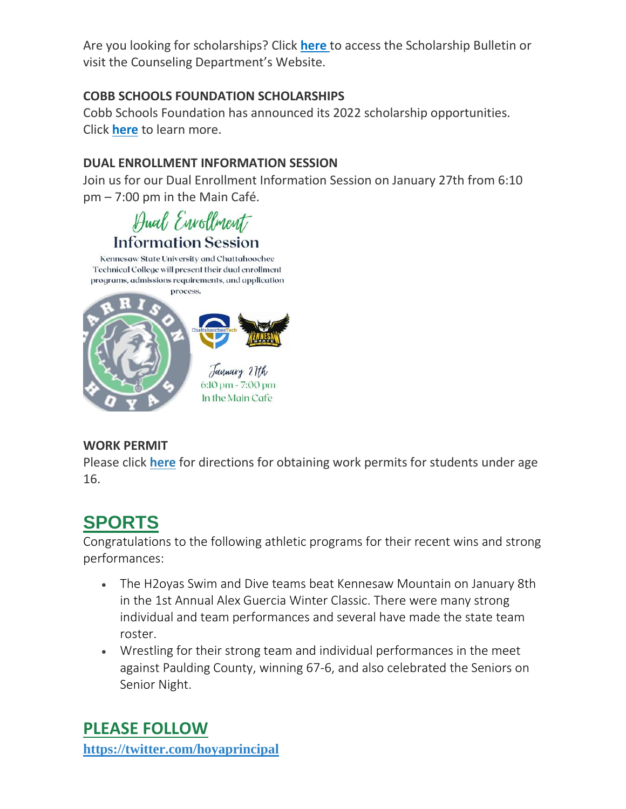Are you looking for scholarships? Click **[here](http://url503.cobbk12.org/ls/click?upn=lifxRKNE4qaF4JWLXkbAsjh7ycX9GyI4V6qRbFFivNpp-2B3syQ-2BF1CRoHOrZqfnEtQcfUXEzQ4WYketaNTGV3408V8zS1UaS9Mdiay1YDYqUko-2F7m3YIEbQY7FNUfHqgboWCU-2FMo4nH5Qc0ll4-2Ba3ag-3D-3DofTP_W-2BfLYUoUwwI1tuGClKRhhPOSepcZIFoXnUIMjiA717kQ1i13BNQTwwJ9cl-2BWArXr6-2FDxoCbNFrRaplJKtN7fZyayq-2FieBXhZqqo9bwWIK-2Bjc9oKlSmIAJ-2BU9nVMBqn4fvK4njuRS4H5xKC5me-2FOtHuCXaZKZTqb0H4BY0y4XYRVwH8g1l0qDaPqPUo1VTcMSEb-2FAsa-2FMb8wXlM-2F-2B49po-2B7Z7ZV1irD8cxhXQ478QfkJ0J3KAWCuclFdWXjh2s537IRobSDU0otRnzB5wZr3mfw-3D-3D)** to access the Scholarship Bulletin or visit the Counseling Department's Website.

### **COBB SCHOOLS FOUNDATION SCHOLARSHIPS**

Cobb Schools Foundation has announced its 2022 scholarship opportunities. Click **[here](http://url503.cobbk12.org/ls/click?upn=HU5K2q0Fz5ADTGboxPzOzV-2FXL0qE7BYVJk79MoYchrZ-2Ff-2FOdLvmkCHlDRa-2FCfR6GepNJjwsIv88e3tF9oGpulEhReEsKb-2B1hUFN2zj3kSymz22WtzalPFI4Qcc1cUyvSmnvh_W-2BfLYUoUwwI1tuGClKRhhPOSepcZIFoXnUIMjiA717kQ1i13BNQTwwJ9cl-2BWArXr6-2FDxoCbNFrRaplJKtN7fZyayq-2FieBXhZqqo9bwWIK-2Bjc9oKlSmIAJ-2BU9nVMBqn4f0nQxXmoEqG85k5aoW6zn-2BGTtmjzH5b1i8D5tNY5ZcGAeMf6U6qY20b-2FkUr-2FhULmWi-2B1zWEYQ9Tforz6C8BepKNwHVyD03-2BrrtRCvioo2z2IufZxq5VJM-2BzdWh5HR7PrC8x1WrjvMNOULitbiBdoxdw-3D-3D)** to learn more.

### **DUAL ENROLLMENT INFORMATION SESSION**

Join us for our Dual Enrollment Information Session on January 27th from 6:10 pm – 7:00 pm in the Main Café.

Hual Envollment **Information Session** 

Kennesaw State University and Chattahoochee Technical College will present their dual enrollment programs, admissions requirements, and application process.



### **WORK PERMIT**

Please click **[here](http://url503.cobbk12.org/ls/click?upn=HU5K2q0Fz5ADTGboxPzOzV-2FXL0qE7BYVJk79MoYchragV5467tisWoPAB9agzSUHDsbqBYccGjiUhV-2FDTHAbpfQ3tb3XltUDiEnSOWDrZrU-3DYFMz_W-2BfLYUoUwwI1tuGClKRhhPOSepcZIFoXnUIMjiA717kQ1i13BNQTwwJ9cl-2BWArXr6-2FDxoCbNFrRaplJKtN7fZyayq-2FieBXhZqqo9bwWIK-2Bjc9oKlSmIAJ-2BU9nVMBqn4fJ491WS1t-2FRzSRBaRkDQlMzPBvhyAW0ue6dRJCFWvG9Pz9g0UrbRnDNAtZJ3nyIa0OjB1uR9-2FkjmAKP8eajgoP761EdYo1MqfN-2FQYRznL4rqqey1JkA4kt1fcZyl4nIrleX7stUWSTUcK5DlLgKGYDA-3D-3D)** for directions for obtaining work permits for students under age 16.

# **SPORTS**

Congratulations to the following athletic programs for their recent wins and strong performances:

- The H2oyas Swim and Dive teams beat Kennesaw Mountain on January 8th in the 1st Annual Alex Guercia Winter Classic. There were many strong individual and team performances and several have made the state team roster.
- Wrestling for their strong team and individual performances in the meet against Paulding County, winning 67-6, and also celebrated the Seniors on Senior Night.

**PLEASE FOLLOW [https://twitter.com/hoyaprincipal](http://url503.cobbk12.org/ls/click?upn=Q-2BKaVIKfS2AqG1NntRWXImXNf49-2Fa0XLVWXgC2OaD3eYKqynJ772HQBgX-2BTS9v7Wkg6hDlDEhqY9O5C0xw5u4wzx-2FVT7GJBN4VxchsI9o1gMCPGZqbrCGQbrK9th1DpVNpRZMB-2Befq-2BO0LrpHLPx82AfwiNRrpeNnPC7rNKkbTOIc08xpyNOgPK1fTuSRau29s6Jvr1q5mMKqc2zLUJ2DJvUpLZeptJaXBPC3fCjgZZFEgRcUh4jITkJ-2BpvbV-2BprYLH-2BiiMyEs2jjJUfLvPRgC4K-2BiWJXfBJUt844M-2Fio7yAl-2Bhd8XOPVGZrOl4R4XrvApD-2B8J-2B40OjUt-2FPJha6sfvNvdW6kL-2FcjBLNGB37VXUXiIa2YpN7qFBOC1B4tgW-2BVcrgLKUuI6miauFTSu7XvT2QxrGHH7g1RrBT3sUFNX8g-3Dnpge_W-2BfLYUoUwwI1tuGClKRhhPOSepcZIFoXnUIMjiA717kQ1i13BNQTwwJ9cl-2BWArXr6-2FDxoCbNFrRaplJKtN7fZyayq-2FieBXhZqqo9bwWIK-2Bjc9oKlSmIAJ-2BU9nVMBqn4f73M1b8V3HLFUQYT9dfY9HiwteK0JzNju9e3K7CD9vf-2BICmzwHmIni7wRyy4DMHz6-2FPhFKeNOVgBOubGj9dsdMQRzRgNTQnFiFiZvlaU4-2BbQ1-2BumWGzMAv8nYtnimmtx-2B-2FjLOE18gNvMteO1xj-2ByW0Q-3D-3D)**